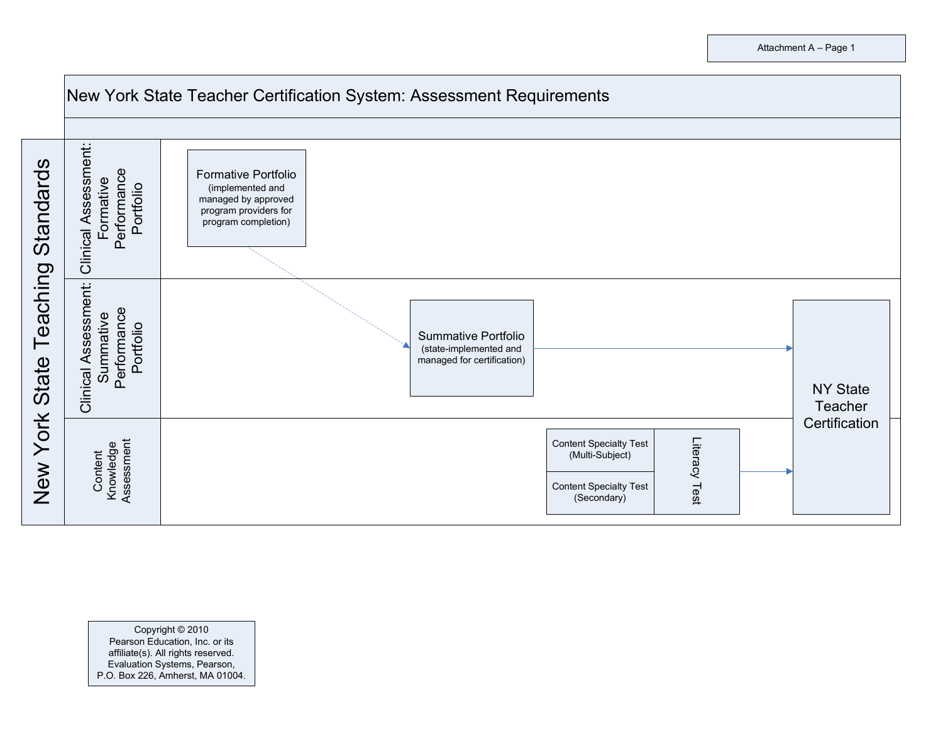

Copyright © 2010 Pearson Education, Inc. or its affiliate(s). All rights reserved. Evaluation Systems, Pearson, P.O. Box 226, Amherst, MA 01004.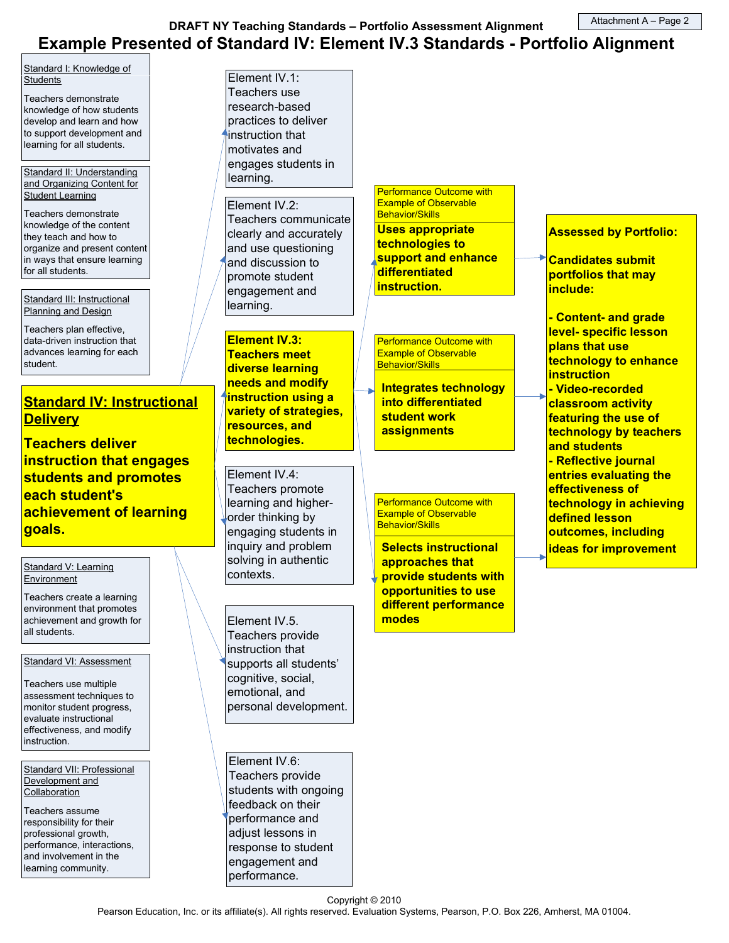DRAFT NY Teaching Standards – Portfolio Assessment Alignment Example Presented of Standard IV: Element IV.3 Standards - Portfolio Alignment Attachment A – Page 2

Standard I: Knowledge of **Students** 

Teachers demonstrate knowledge of how students develop and learn and how to support development and learning for all students.

Standard II: Understanding and Organizing Content for **Student Learning** 

Teachers demonstrate knowledge of the content they teach and how to organize and present content in ways that ensure learning for all students.

Standard III: Instructional Planning and Design

Teachers plan effective, data-driven instruction that advances learning for each student.

# **Standard IV: Instructional Delivery**

Teachers deliver instruction that engages students and promotes each student's achievement of learning goals.

#### Standard V: Learning **Environment**

Teachers create a learning environment that promotes achievement and growth for all students.

Standard VI: Assessment

Teachers use multiple assessment techniques to monitor student progress, evaluate instructional effectiveness, and modify instruction.

Standard VII: Professional Development and **Collaboration** 

Teachers assume responsibility for their professional growth, performance, interactions, and involvement in the learning community.

Element IV.1: Teachers use research-based practices to deliver instruction that motivates and engages students in learning.

Element IV.2: Teachers communicate clearly and accurately and use questioning and discussion to promote student engagement and learning.

Element IV.3: Teachers meet diverse learning needs and modify instruction using a variety of strategies, resources, and technologies.

Element IV.4: Teachers promote learning and higherorder thinking by engaging students in inquiry and problem solving in authentic contexts.

Element IV.5. Teachers provide instruction that supports all students' cognitive, social, emotional, and personal development.

Element IV.6: Teachers provide students with ongoing feedback on their performance and adjust lessons in response to student engagement and performance.

Performance Outcome with Example of Observable Behavior/Skills Uses appropriate technologies to support and enhance differentiated instruction.

Performance Outcome with Example of Observable Behavior/Skills

Integrates technology into differentiated student work **assignments** 

Performance Outcome with Example of Observable Behavior/Skills

Selects instructional approaches that provide students with opportunities to use different performance modes

### Candidates submit portfolios that may include: - Content- and grade level- specific lesson plans that use technology to enhance

Assessed by Portfolio:

**instruction** - Video-recorded classroom activity featuring the use of technology by teachers and students - Reflective journal entries evaluating the effectiveness of technology in achieving defined lesson outcomes, including

ideas for improvement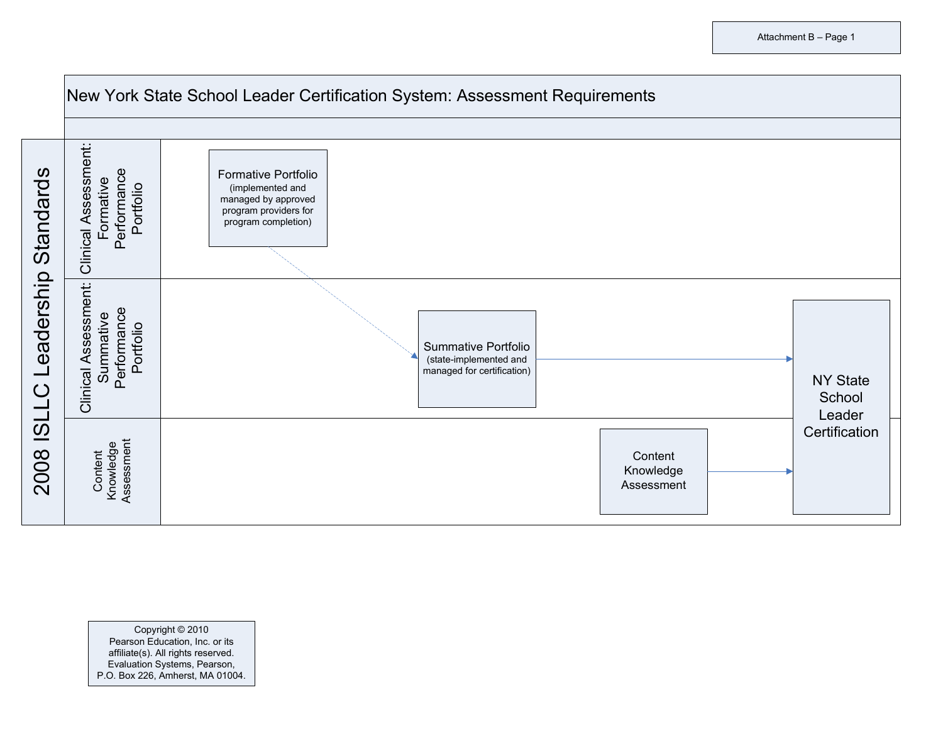

Copyright © 2010 Pearson Education, Inc. or its affiliate(s). All rights reserved. Evaluation Systems, Pearson, P.O. Box 226, Amherst, MA 01004.